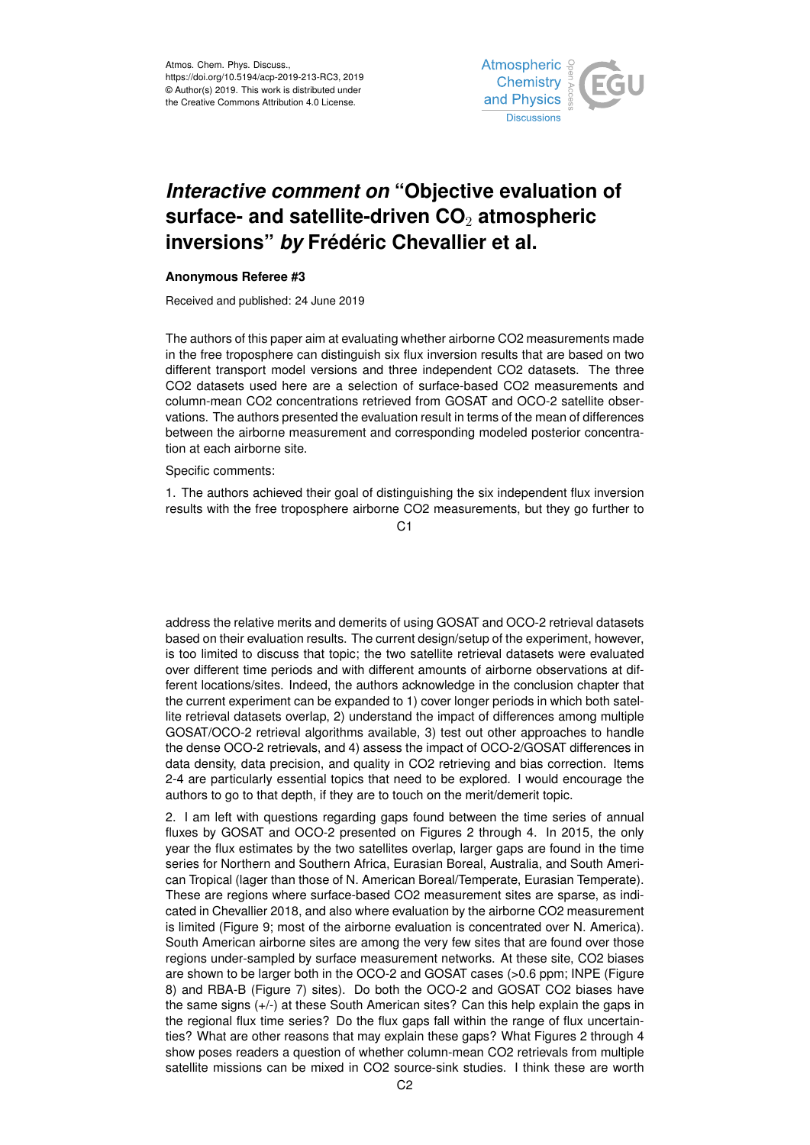

## *Interactive comment on* **"Objective evaluation of surface- and satellite-driven CO**<sup>2</sup> **atmospheric inversions"** *by* **Frédéric Chevallier et al.**

## **Anonymous Referee #3**

Received and published: 24 June 2019

The authors of this paper aim at evaluating whether airborne CO2 measurements made in the free troposphere can distinguish six flux inversion results that are based on two different transport model versions and three independent CO2 datasets. The three CO2 datasets used here are a selection of surface-based CO2 measurements and column-mean CO2 concentrations retrieved from GOSAT and OCO-2 satellite observations. The authors presented the evaluation result in terms of the mean of differences between the airborne measurement and corresponding modeled posterior concentration at each airborne site.

Specific comments:

1. The authors achieved their goal of distinguishing the six independent flux inversion results with the free troposphere airborne CO2 measurements, but they go further to

C1

address the relative merits and demerits of using GOSAT and OCO-2 retrieval datasets based on their evaluation results. The current design/setup of the experiment, however, is too limited to discuss that topic; the two satellite retrieval datasets were evaluated over different time periods and with different amounts of airborne observations at different locations/sites. Indeed, the authors acknowledge in the conclusion chapter that the current experiment can be expanded to 1) cover longer periods in which both satellite retrieval datasets overlap, 2) understand the impact of differences among multiple GOSAT/OCO-2 retrieval algorithms available, 3) test out other approaches to handle the dense OCO-2 retrievals, and 4) assess the impact of OCO-2/GOSAT differences in data density, data precision, and quality in CO2 retrieving and bias correction. Items 2-4 are particularly essential topics that need to be explored. I would encourage the authors to go to that depth, if they are to touch on the merit/demerit topic.

2. I am left with questions regarding gaps found between the time series of annual fluxes by GOSAT and OCO-2 presented on Figures 2 through 4. In 2015, the only year the flux estimates by the two satellites overlap, larger gaps are found in the time series for Northern and Southern Africa, Eurasian Boreal, Australia, and South American Tropical (lager than those of N. American Boreal/Temperate, Eurasian Temperate). These are regions where surface-based CO2 measurement sites are sparse, as indicated in Chevallier 2018, and also where evaluation by the airborne CO2 measurement is limited (Figure 9; most of the airborne evaluation is concentrated over N. America). South American airborne sites are among the very few sites that are found over those regions under-sampled by surface measurement networks. At these site, CO2 biases are shown to be larger both in the OCO-2 and GOSAT cases (>0.6 ppm; INPE (Figure 8) and RBA-B (Figure 7) sites). Do both the OCO-2 and GOSAT CO2 biases have the same signs (+/-) at these South American sites? Can this help explain the gaps in the regional flux time series? Do the flux gaps fall within the range of flux uncertainties? What are other reasons that may explain these gaps? What Figures 2 through 4 show poses readers a question of whether column-mean CO2 retrievals from multiple satellite missions can be mixed in CO2 source-sink studies. I think these are worth